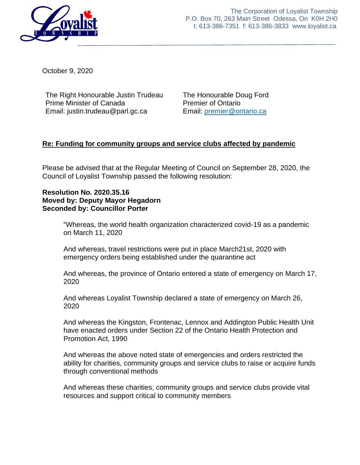

The Corporation of Loyalist Township P.O. Box 70, 263 Main Street Odessa, On K0H 2H0 t: 613-386-7351 f: 613-386-3833 www.loyalist.ca

October 9, 2020

The Right Honourable Justin Trudeau Prime Minister of Canada Email: justin.trudeau@parl.gc.ca

The Honourable Doug Ford Premier of Ontario Email: [premier@ontario.ca](mailto:premier@ontario.ca)

## **Re: Funding for community groups and service clubs affected by pandemic**

Please be advised that at the Regular Meeting of Council on September 28, 2020, the Council of Loyalist Township passed the following resolution:

## **Resolution No. 2020.35.16 Moved by: Deputy Mayor Hegadorn Seconded by: Councillor Porter**

"Whereas, the world health organization characterized covid-19 as a pandemic on March 11, 2020

And whereas, travel restrictions were put in place March21st, 2020 with emergency orders being established under the quarantine act

And whereas, the province of Ontario entered a state of emergency on March 17, 2020

And whereas Loyalist Township declared a state of emergency on March 26, 2020

And whereas the Kingston, Frontenac, Lennox and Addington Public Health Unit have enacted orders under Section 22 of the Ontario Health Protection and Promotion Act, 1990

And whereas the above noted state of emergencies and orders restricted the ability for charities, community groups and service clubs to raise or acquire funds through conventional methods

And whereas these charities, community groups and service clubs provide vital resources and support critical to community members